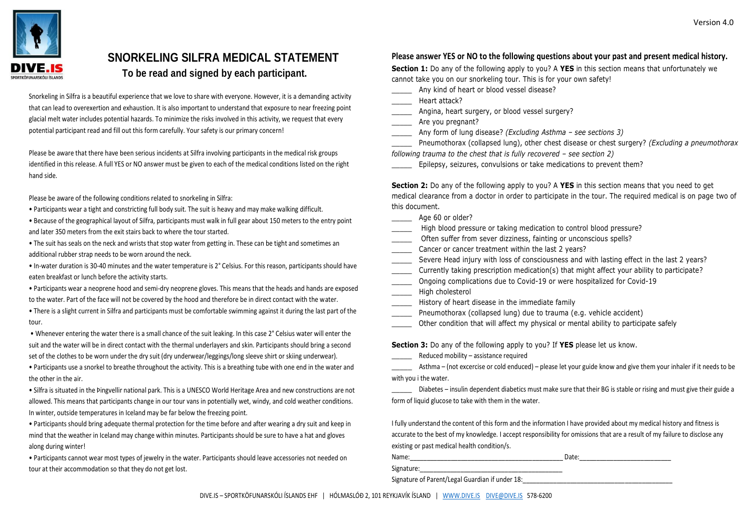

## **SNORKELING SILFRA MEDICAL STATEMENT To be read and signed by each participant.**

Snorkeling in Silfra is a beautiful experience that we love to share with everyone. However, it is a demanding activity that can lead to overexertion and exhaustion. It is also important to understand that exposure to near freezing point glacial melt water includes potential hazards. To minimize the risks involved in this activity, we request that every potential participant read and fill out this form carefully. Your safety is our primary concern!

Please be aware that there have been serious incidents at Silfra involving participants in the medical risk groups identified in this release. A full YES or NO answer must be given to each of the medical conditions listed on the right hand side.

Please be aware of the following conditions related to snorkeling in Silfra:

- Participants wear a tight and constricting full body suit. The suit is heavy and may make walking difficult.
- Because of the geographical layout of Silfra, participants must walk in full gear about 150 meters to the entry point and later 350 meters from the exit stairs back to where the tour started.
- The suit has seals on the neck and wrists that stop water from getting in. These can be tight and sometimes an additional rubber strap needs to be worn around the neck.

• In-water duration is 30-40 minutes and the water temperature is 2° Celsius. For this reason, participants should have eaten breakfast or lunch before the activity starts.

• Participants wear a neoprene hood and semi-dry neoprene gloves. This means that the heads and hands are exposed to the water. Part of the face will not be covered by the hood and therefore be in direct contact with the water.

• There is a slight current in Silfra and participants must be comfortable swimming against it during the last part of the tour.

• Whenever entering the water there is a small chance of the suit leaking. In this case 2° Celsius water will enter the suit and the water will be in direct contact with the thermal underlayers and skin. Participants should bring a second set of the clothes to be worn under the dry suit (dry underwear/leggings/long sleeve shirt or skiing underwear).

• Participants use a snorkel to breathe throughout the activity. This is a breathing tube with one end in the water and the other in the air.

• Silfra is situated in the Þingvellir national park. This is a UNESCO World Heritage Area and new constructions are not allowed. This means that participants change in our tour vans in potentially wet, windy, and cold weather conditions. In winter, outside temperatures in Iceland may be far below the freezing point.

• Participants should bring adequate thermal protection for the time before and after wearing a dry suit and keep in mind that the weather in Iceland may change within minutes. Participants should be sure to have a hat and gloves along during winter!

• Participants cannot wear most types of jewelry in the water. Participants should leave accessories not needed on tour at their accommodation so that they do not get lost.

### **Please answer YES or NO to the following questions about your past and present medical history.**

**Section 1:** Do any of the following apply to you? A **YES** in this section means that unfortunately we cannot take you on our snorkeling tour. This is for your own safety!

Any kind of heart or blood vessel disease?

\_\_\_\_\_ Heart attack?

- \_\_\_\_\_ Angina, heart surgery, or blood vessel surgery?
- Are you pregnant?
- \_\_\_\_\_ Any form of lung disease? *(Excluding Asthma – see sections 3)*

\_\_\_\_\_ Pneumothorax (collapsed lung), other chest disease or chest surgery? *(Excluding a pneumothorax following trauma to the chest that is fully recovered – see section 2)* 

Epilepsy, seizures, convulsions or take medications to prevent them?

**Section 2:** Do any of the following apply to you? A **YES** in this section means that you need to get medical clearance from a doctor in order to participate in the tour. The required medical is on page two of this document.

\_\_\_\_\_\_\_\_ Age 60 or older?

- High blood pressure or taking medication to control blood pressure?
- Often suffer from sever dizziness, fainting or unconscious spells?
- Cancer or cancer treatment within the last 2 years?
- Severe Head injury with loss of consciousness and with lasting effect in the last 2 years?
- Currently taking prescription medication(s) that might affect your ability to participate?
- Ongoing complications due to Covid-19 or were hospitalized for Covid-19
- High cholesterol
- History of heart disease in the immediate family
- Pneumothorax (collapsed lung) due to trauma (e.g. vehicle accident)
- Other condition that will affect my physical or mental ability to participate safely

**Section 3:** Do any of the following apply to you? If **YES** please let us know.

Reduced mobility – assistance required

Asthma – (not excercise or cold enduced) – please let your guide know and give them your inhaler if it needs to be with you i the water.

Diabetes – insulin dependent diabetics must make sure that their BG is stable or rising and must give their guide a form of liquid glucose to take with them in the water.

I fully understand the content of this form and the information I have provided about my medical history and fitness is accurate to the best of my knowledge. I accept responsibility for omissions that are a result of my failure to disclose any existing or past medical health condition/s.

| Name:                                           | Date: |
|-------------------------------------------------|-------|
| Signature:                                      |       |
| Signature of Parent/Legal Guardian if under 18: |       |